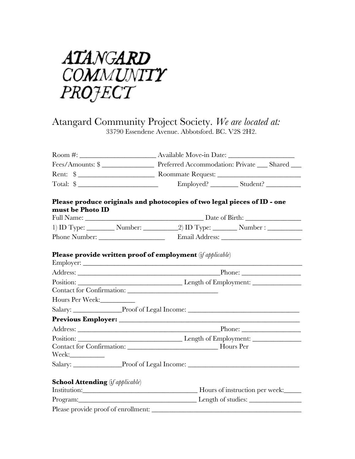

## Atangard Community Project Society. *We are located at:* 33790 Essendene Avenue. Abbotsford. BC. V2S 2H2.

|                                         | Please produce originals and photocopies of two legal pieces of ID - one |  |  |  |  |  |
|-----------------------------------------|--------------------------------------------------------------------------|--|--|--|--|--|
| must be Photo ID                        |                                                                          |  |  |  |  |  |
|                                         |                                                                          |  |  |  |  |  |
|                                         |                                                                          |  |  |  |  |  |
|                                         |                                                                          |  |  |  |  |  |
|                                         | <b>Please provide written proof of employment</b> (if applicable)        |  |  |  |  |  |
|                                         |                                                                          |  |  |  |  |  |
|                                         |                                                                          |  |  |  |  |  |
|                                         |                                                                          |  |  |  |  |  |
| Hours Per Week:                         |                                                                          |  |  |  |  |  |
|                                         | Salary: Proof of Legal Income: Network Changes and Salary:               |  |  |  |  |  |
|                                         |                                                                          |  |  |  |  |  |
|                                         |                                                                          |  |  |  |  |  |
|                                         |                                                                          |  |  |  |  |  |
|                                         |                                                                          |  |  |  |  |  |
|                                         |                                                                          |  |  |  |  |  |
|                                         |                                                                          |  |  |  |  |  |
| <b>School Attending</b> (if applicable) |                                                                          |  |  |  |  |  |
|                                         |                                                                          |  |  |  |  |  |
|                                         | Program: Length of studies:                                              |  |  |  |  |  |
| Please provide proof of enrollment:     |                                                                          |  |  |  |  |  |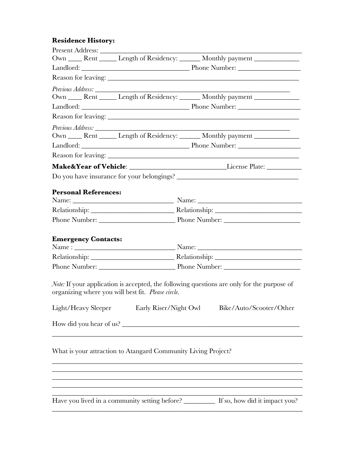## **Residence History:**

|  |                             |                                                               |                                           | Own ______ Rent _______ Length of Residency: _______ Monthly payment ____________                 |  |
|--|-----------------------------|---------------------------------------------------------------|-------------------------------------------|---------------------------------------------------------------------------------------------------|--|
|  |                             |                                                               |                                           |                                                                                                   |  |
|  |                             |                                                               |                                           |                                                                                                   |  |
|  |                             |                                                               |                                           |                                                                                                   |  |
|  |                             |                                                               |                                           | Own ______ Rent _______ Length of Residency: _______ Monthly payment ____________                 |  |
|  |                             |                                                               |                                           |                                                                                                   |  |
|  |                             | Reason for leaving:                                           |                                           |                                                                                                   |  |
|  |                             |                                                               |                                           |                                                                                                   |  |
|  |                             |                                                               |                                           | Own ______ Rent _______ Length of Residency: _______ Monthly payment ____________                 |  |
|  |                             |                                                               |                                           |                                                                                                   |  |
|  |                             |                                                               |                                           |                                                                                                   |  |
|  |                             |                                                               |                                           |                                                                                                   |  |
|  |                             |                                                               |                                           |                                                                                                   |  |
|  |                             |                                                               |                                           |                                                                                                   |  |
|  | <b>Personal References:</b> |                                                               |                                           |                                                                                                   |  |
|  |                             |                                                               |                                           |                                                                                                   |  |
|  |                             |                                                               | Phone Number: Phone Number: Phone Number: |                                                                                                   |  |
|  |                             |                                                               |                                           |                                                                                                   |  |
|  | <b>Emergency Contacts:</b>  |                                                               |                                           |                                                                                                   |  |
|  |                             |                                                               |                                           |                                                                                                   |  |
|  |                             |                                                               |                                           |                                                                                                   |  |
|  |                             |                                                               | Phone Number: Phone Number: Phone Number: |                                                                                                   |  |
|  |                             |                                                               |                                           |                                                                                                   |  |
|  |                             |                                                               |                                           | <i>Note:</i> If your application is accepted, the following questions are only for the purpose of |  |
|  |                             | organizing where you will best fit. Please circle.            |                                           |                                                                                                   |  |
|  | Light/Heavy Sleeper         | Early Riser/Night Owl                                         |                                           | Bike/Auto/Scooter/Other                                                                           |  |
|  |                             | How did you hear of us?                                       |                                           |                                                                                                   |  |
|  |                             |                                                               |                                           |                                                                                                   |  |
|  |                             |                                                               |                                           |                                                                                                   |  |
|  |                             | What is your attraction to Atangard Community Living Project? |                                           |                                                                                                   |  |
|  |                             |                                                               |                                           |                                                                                                   |  |
|  |                             |                                                               |                                           |                                                                                                   |  |
|  |                             |                                                               |                                           |                                                                                                   |  |
|  |                             |                                                               |                                           |                                                                                                   |  |
|  |                             |                                                               |                                           | Have you lived in a community setting before? ___________ If so, how did it impact you?           |  |